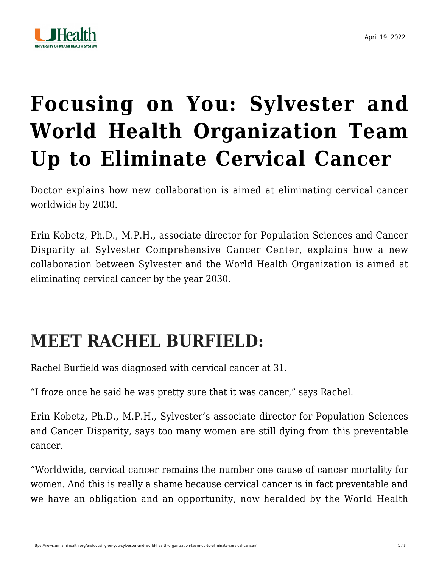

## **[Focusing on You: Sylvester and](https://news.umiamihealth.org/en/focusing-on-you-sylvester-and-world-health-organization-team-up-to-eliminate-cervical-cancer/) [World Health Organization Team](https://news.umiamihealth.org/en/focusing-on-you-sylvester-and-world-health-organization-team-up-to-eliminate-cervical-cancer/) [Up to Eliminate Cervical Cancer](https://news.umiamihealth.org/en/focusing-on-you-sylvester-and-world-health-organization-team-up-to-eliminate-cervical-cancer/)**

Doctor explains how new collaboration is aimed at eliminating cervical cancer worldwide by 2030.

[Erin Kobetz, Ph.D., M.P.H.](https://umiamihealth.org/sylvester-comprehensive-cancer-center/research/faculty/erin-n-kobetz-phd-mph), associate director for Population Sciences and Cancer Disparity at Sylvester Comprehensive Cancer Center, explains how a new collaboration between Sylvester and the World Health Organization is aimed at eliminating cervical cancer by the year 2030.

## **MEET RACHEL BURFIELD:**

Rachel Burfield was diagnosed with [cervical cancer](https://umiamihealth.org/sylvester-comprehensive-cancer-center/treatments-and-services/gynecologic-cancers/cervical-cancer) at 31.

"I froze once he said he was pretty sure that it was cancer," says Rachel.

Erin Kobetz, Ph.D., M.P.H., Sylvester's associate director for Population Sciences and Cancer Disparity, says too many women are still dying from this preventable cancer.

"Worldwide, cervical cancer remains the number one cause of cancer mortality for women. And this is really a shame because cervical cancer is in fact preventable and we have an obligation and an opportunity, now heralded by the World Health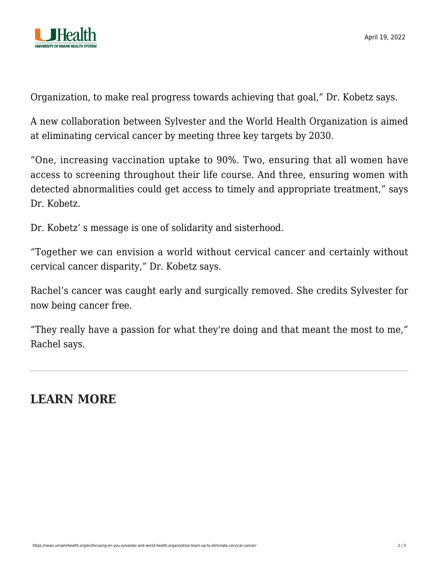

Organization, to make real progress towards achieving that goal," Dr. Kobetz says.

A new collaboration between Sylvester and the World Health Organization is aimed at eliminating cervical cancer by meeting three key targets by 2030.

"One, increasing vaccination uptake to 90%. Two, ensuring that all women have access to screening throughout their life course. And three, ensuring women with detected abnormalities could get access to timely and appropriate treatment," says Dr. Kobetz.

Dr. Kobetz' s message is one of solidarity and sisterhood.

"Together we can envision a world without cervical cancer and certainly without cervical cancer disparity," Dr. Kobetz says.

Rachel's cancer was caught early and surgically removed. She credits Sylvester for now being cancer free.

"They really have a passion for what they're doing and that meant the most to me," Rachel says.

## **LEARN MORE**